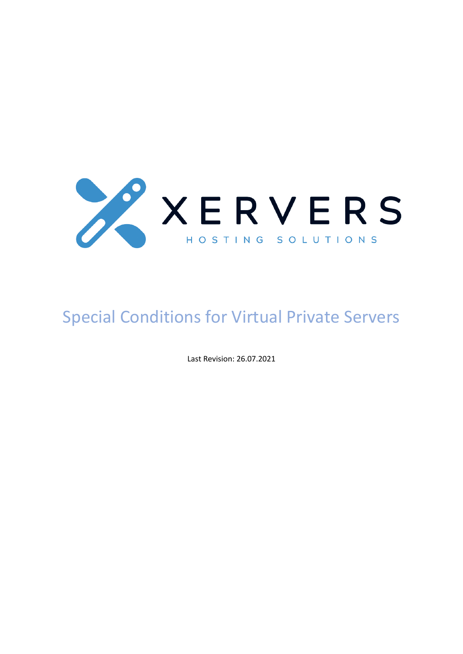

# Special Conditions for Virtual Private Servers

Last Revision: 26.07.2021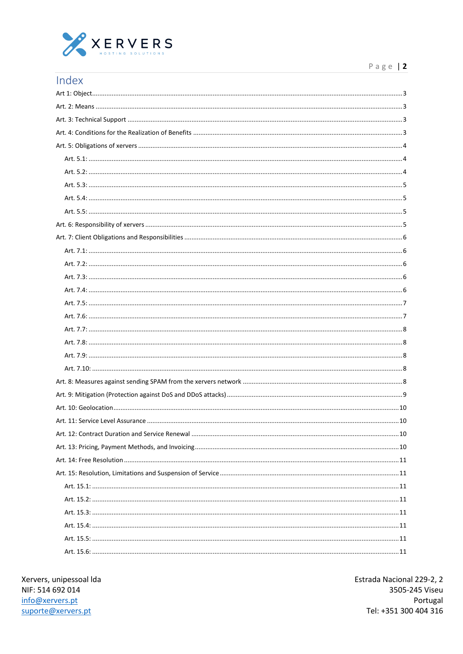

| Index                             |    |
|-----------------------------------|----|
|                                   |    |
|                                   |    |
|                                   |    |
|                                   |    |
|                                   |    |
|                                   |    |
|                                   |    |
|                                   |    |
|                                   |    |
|                                   |    |
|                                   |    |
|                                   |    |
|                                   |    |
|                                   |    |
|                                   |    |
|                                   |    |
|                                   |    |
|                                   |    |
|                                   |    |
|                                   |    |
|                                   |    |
|                                   |    |
|                                   |    |
|                                   |    |
|                                   |    |
| Art. 11: Service Level Assurance. | 10 |
|                                   |    |
|                                   |    |
|                                   |    |
|                                   |    |
|                                   |    |
|                                   |    |
|                                   |    |
|                                   |    |
|                                   |    |
|                                   |    |

Xervers, unipessoal Ida NIF: 514 692 014 info@xervers.pt suporte@xervers.pt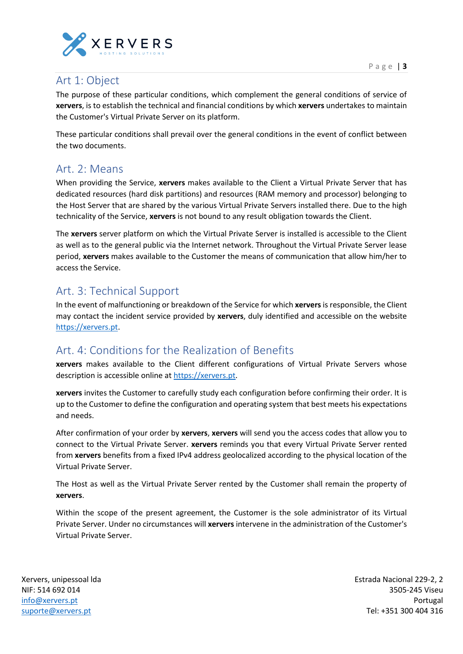

#### <span id="page-2-0"></span>Art 1: Object

The purpose of these particular conditions, which complement the general conditions of service of **xervers**, is to establish the technical and financial conditions by which **xervers** undertakes to maintain the Customer's Virtual Private Server on its platform.

These particular conditions shall prevail over the general conditions in the event of conflict between the two documents.

#### <span id="page-2-1"></span>Art. 2: Means

When providing the Service, **xervers** makes available to the Client a Virtual Private Server that has dedicated resources (hard disk partitions) and resources (RAM memory and processor) belonging to the Host Server that are shared by the various Virtual Private Servers installed there. Due to the high technicality of the Service, **xervers** is not bound to any result obligation towards the Client.

The **xervers** server platform on which the Virtual Private Server is installed is accessible to the Client as well as to the general public via the Internet network. Throughout the Virtual Private Server lease period, **xervers** makes available to the Customer the means of communication that allow him/her to access the Service.

## <span id="page-2-2"></span>Art. 3: Technical Support

In the event of malfunctioning or breakdown of the Service for which **xervers**is responsible, the Client may contact the incident service provided by **xervers**, duly identified and accessible on the website [https://xervers.pt.](https://xervers.pt/)

# <span id="page-2-3"></span>Art. 4: Conditions for the Realization of Benefits

**xervers** makes available to the Client different configurations of Virtual Private Servers whose description is accessible online at [https://xervers.pt.](https://xervers.pt/)

**xervers** invites the Customer to carefully study each configuration before confirming their order. It is up to the Customer to define the configuration and operating system that best meets his expectations and needs.

After confirmation of your order by **xervers**, **xervers** will send you the access codes that allow you to connect to the Virtual Private Server. **xervers** reminds you that every Virtual Private Server rented from **xervers** benefits from a fixed IPv4 address geolocalized according to the physical location of the Virtual Private Server.

The Host as well as the Virtual Private Server rented by the Customer shall remain the property of **xervers**.

Within the scope of the present agreement, the Customer is the sole administrator of its Virtual Private Server. Under no circumstances will **xervers** intervene in the administration of the Customer's Virtual Private Server.

Xervers, unipessoal lda NIF: 514 692 014 [info@xervers.pt](mailto:info@xervers.pt) [suporte@xervers.pt](mailto:suporte@xervers.pt)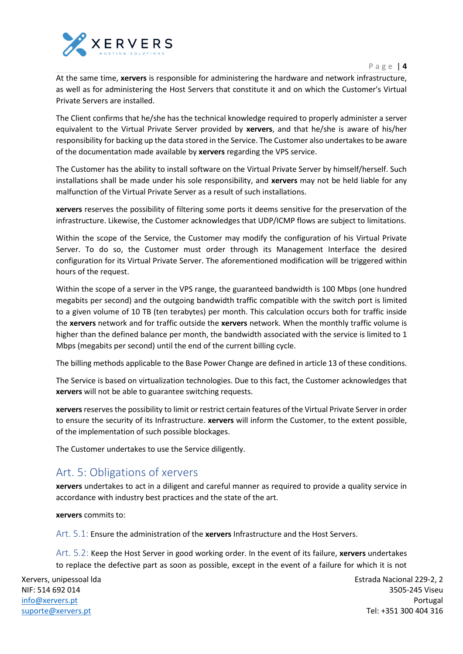



At the same time, **xervers** is responsible for administering the hardware and network infrastructure, as well as for administering the Host Servers that constitute it and on which the Customer's Virtual Private Servers are installed.

The Client confirms that he/she has the technical knowledge required to properly administer a server equivalent to the Virtual Private Server provided by **xervers**, and that he/she is aware of his/her responsibility for backing up the data stored in the Service. The Customer also undertakes to be aware of the documentation made available by **xervers** regarding the VPS service.

The Customer has the ability to install software on the Virtual Private Server by himself/herself. Such installations shall be made under his sole responsibility, and **xervers** may not be held liable for any malfunction of the Virtual Private Server as a result of such installations.

**xervers** reserves the possibility of filtering some ports it deems sensitive for the preservation of the infrastructure. Likewise, the Customer acknowledges that UDP/ICMP flows are subject to limitations.

Within the scope of the Service, the Customer may modify the configuration of his Virtual Private Server. To do so, the Customer must order through its Management Interface the desired configuration for its Virtual Private Server. The aforementioned modification will be triggered within hours of the request.

Within the scope of a server in the VPS range, the guaranteed bandwidth is 100 Mbps (one hundred megabits per second) and the outgoing bandwidth traffic compatible with the switch port is limited to a given volume of 10 TB (ten terabytes) per month. This calculation occurs both for traffic inside the **xervers** network and for traffic outside the **xervers** network. When the monthly traffic volume is higher than the defined balance per month, the bandwidth associated with the service is limited to 1 Mbps (megabits per second) until the end of the current billing cycle.

The billing methods applicable to the Base Power Change are defined in article 13 of these conditions.

The Service is based on virtualization technologies. Due to this fact, the Customer acknowledges that **xervers** will not be able to guarantee switching requests.

**xervers**reserves the possibility to limit or restrict certain features of the Virtual Private Server in order to ensure the security of its Infrastructure. **xervers** will inform the Customer, to the extent possible, of the implementation of such possible blockages.

The Customer undertakes to use the Service diligently.

#### <span id="page-3-0"></span>Art. 5: Obligations of xervers

**xervers** undertakes to act in a diligent and careful manner as required to provide a quality service in accordance with industry best practices and the state of the art.

**xervers** commits to:

<span id="page-3-1"></span>Art. 5.1: Ensure the administration of the **xervers** Infrastructure and the Host Servers.

<span id="page-3-2"></span>Art. 5.2: Keep the Host Server in good working order. In the event of its failure, **xervers** undertakes to replace the defective part as soon as possible, except in the event of a failure for which it is not

Xervers, unipessoal lda NIF: 514 692 014 [info@xervers.pt](mailto:info@xervers.pt) [suporte@xervers.pt](mailto:suporte@xervers.pt)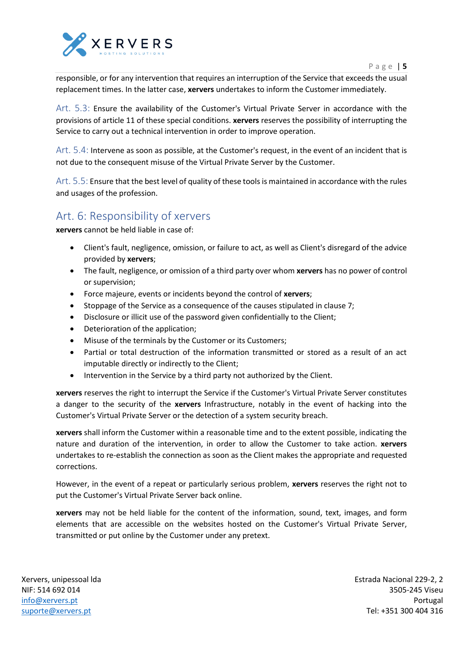

responsible, or for any intervention that requires an interruption of the Service that exceeds the usual replacement times. In the latter case, **xervers** undertakes to inform the Customer immediately.

<span id="page-4-0"></span>Art. 5.3: Ensure the availability of the Customer's Virtual Private Server in accordance with the provisions of article 11 of these special conditions. **xervers** reserves the possibility of interrupting the Service to carry out a technical intervention in order to improve operation.

<span id="page-4-1"></span>Art. 5.4: Intervene as soon as possible, at the Customer's request, in the event of an incident that is not due to the consequent misuse of the Virtual Private Server by the Customer.

<span id="page-4-2"></span>Art. 5.5: Ensure that the best level of quality of these tools is maintained in accordance with the rules and usages of the profession.

#### <span id="page-4-3"></span>Art. 6: Responsibility of xervers

**xervers** cannot be held liable in case of:

- Client's fault, negligence, omission, or failure to act, as well as Client's disregard of the advice provided by **xervers**;
- The fault, negligence, or omission of a third party over whom **xervers** has no power of control or supervision;
- Force majeure, events or incidents beyond the control of **xervers**;
- Stoppage of the Service as a consequence of the causes stipulated in clause 7;
- Disclosure or illicit use of the password given confidentially to the Client;
- Deterioration of the application;
- Misuse of the terminals by the Customer or its Customers;
- Partial or total destruction of the information transmitted or stored as a result of an act imputable directly or indirectly to the Client;
- Intervention in the Service by a third party not authorized by the Client.

**xervers** reserves the right to interrupt the Service if the Customer's Virtual Private Server constitutes a danger to the security of the **xervers** Infrastructure, notably in the event of hacking into the Customer's Virtual Private Server or the detection of a system security breach.

**xervers** shall inform the Customer within a reasonable time and to the extent possible, indicating the nature and duration of the intervention, in order to allow the Customer to take action. **xervers** undertakes to re-establish the connection as soon as the Client makes the appropriate and requested corrections.

However, in the event of a repeat or particularly serious problem, **xervers** reserves the right not to put the Customer's Virtual Private Server back online.

**xervers** may not be held liable for the content of the information, sound, text, images, and form elements that are accessible on the websites hosted on the Customer's Virtual Private Server, transmitted or put online by the Customer under any pretext.

Xervers, unipessoal lda NIF: 514 692 014 [info@xervers.pt](mailto:info@xervers.pt) [suporte@xervers.pt](mailto:suporte@xervers.pt)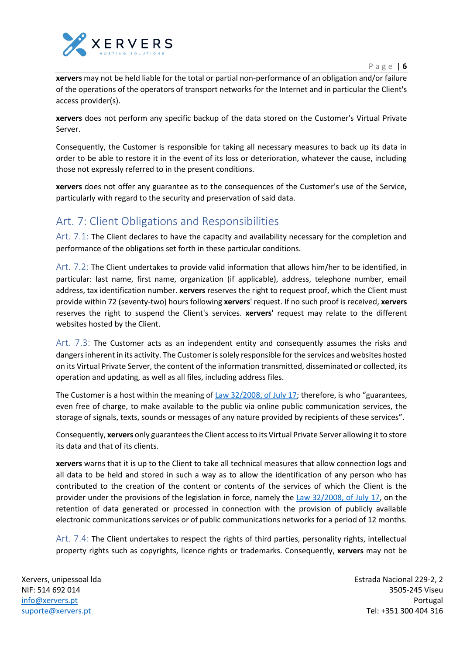

**xervers** may not be held liable for the total or partial non-performance of an obligation and/or failure of the operations of the operators of transport networks for the Internet and in particular the Client's access provider(s).

**xervers** does not perform any specific backup of the data stored on the Customer's Virtual Private Server.

Consequently, the Customer is responsible for taking all necessary measures to back up its data in order to be able to restore it in the event of its loss or deterioration, whatever the cause, including those not expressly referred to in the present conditions.

**xervers** does not offer any guarantee as to the consequences of the Customer's use of the Service, particularly with regard to the security and preservation of said data.

## <span id="page-5-0"></span>Art. 7: Client Obligations and Responsibilities

<span id="page-5-1"></span>Art. 7.1: The Client declares to have the capacity and availability necessary for the completion and performance of the obligations set forth in these particular conditions.

<span id="page-5-2"></span>Art. 7.2: The Client undertakes to provide valid information that allows him/her to be identified, in particular: last name, first name, organization (if applicable), address, telephone number, email address, tax identification number. **xervers** reserves the right to request proof, which the Client must provide within 72 (seventy-two) hours following **xervers**' request. If no such proof is received, **xervers** reserves the right to suspend the Client's services. **xervers**' request may relate to the different websites hosted by the Client.

<span id="page-5-3"></span>Art. 7.3: The Customer acts as an independent entity and consequently assumes the risks and dangers inherent in its activity. The Customer is solely responsible for the services and websites hosted on its Virtual Private Server, the content of the information transmitted, disseminated or collected, its operation and updating, as well as all files, including address files.

The Customer is a host within the meaning of Law 32/2008, of July 17; therefore, is who "guarantees, even free of charge, to make available to the public via online public communication services, the storage of signals, texts, sounds or messages of any nature provided by recipients of these services".

Consequently, **xervers** only guarantees the Client access to its Virtual Private Server allowing it to store its data and that of its clients.

**xervers** warns that it is up to the Client to take all technical measures that allow connection logs and all data to be held and stored in such a way as to allow the identification of any person who has contributed to the creation of the content or contents of the services of which the Client is the provider under the provisions of the legislation in force, namely the Law 32/2008, of July 17, on the retention of data generated or processed in connection with the provision of publicly available electronic communications services or of public communications networks for a period of 12 months.

<span id="page-5-4"></span>Art. 7.4: The Client undertakes to respect the rights of third parties, personality rights, intellectual property rights such as copyrights, licence rights or trademarks. Consequently, **xervers** may not be

Xervers, unipessoal lda NIF: 514 692 014 [info@xervers.pt](mailto:info@xervers.pt) [suporte@xervers.pt](mailto:suporte@xervers.pt)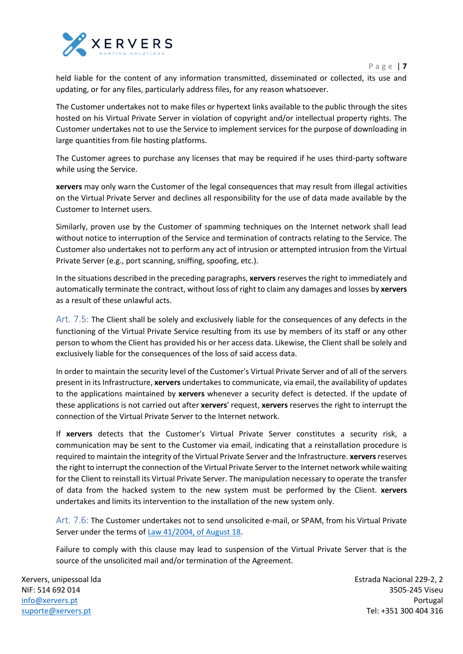

held liable for the content of any information transmitted, disseminated or collected, its use and updating, or for any files, particularly address files, for any reason whatsoever.

The Customer undertakes not to make files or hypertext links available to the public through the sites hosted on his Virtual Private Server in violation of copyright and/or intellectual property rights. The Customer undertakes not to use the Service to implement services for the purpose of downloading in large quantities from file hosting platforms.

The Customer agrees to purchase any licenses that may be required if he uses third-party software while using the Service.

**xervers** may only warn the Customer of the legal consequences that may result from illegal activities on the Virtual Private Server and declines all responsibility for the use of data made available by the Customer to Internet users.

Similarly, proven use by the Customer of spamming techniques on the Internet network shall lead without notice to interruption of the Service and termination of contracts relating to the Service. The Customer also undertakes not to perform any act of intrusion or attempted intrusion from the Virtual Private Server (e.g., port scanning, sniffing, spoofing, etc.).

In the situations described in the preceding paragraphs, **xervers** reserves the right to immediately and automatically terminate the contract, without loss of right to claim any damages and losses by **xervers** as a result of these unlawful acts.

<span id="page-6-0"></span>Art. 7.5: The Client shall be solely and exclusively liable for the consequences of any defects in the functioning of the Virtual Private Service resulting from its use by members of its staff or any other person to whom the Client has provided his or her access data. Likewise, the Client shall be solely and exclusively liable for the consequences of the loss of said access data.

In order to maintain the security level of the Customer's Virtual Private Server and of all of the servers present in its Infrastructure, **xervers** undertakes to communicate, via email, the availability of updates to the applications maintained by **xervers** whenever a security defect is detected. If the update of these applications is not carried out after **xervers**' request, **xervers** reserves the right to interrupt the connection of the Virtual Private Server to the Internet network.

If **xervers** detects that the Customer's Virtual Private Server constitutes a security risk, a communication may be sent to the Customer via email, indicating that a reinstallation procedure is required to maintain the integrity of the Virtual Private Server and the Infrastructure. **xervers**reserves the right to interrupt the connection of the Virtual Private Server to the Internet network while waiting for the Client to reinstall its Virtual Private Server. The manipulation necessary to operate the transfer of data from the hacked system to the new system must be performed by the Client. **xervers** undertakes and limits its intervention to the installation of the new system only.

<span id="page-6-1"></span>Art. 7.6: The Customer undertakes not to send unsolicited e-mail, or SPAM, from his Virtual Private Server under the terms of Law 41/2004, of August 18.

Failure to comply with this clause may lead to suspension of the Virtual Private Server that is the source of the unsolicited mail and/or termination of the Agreement.

Xervers, unipessoal lda NIF: 514 692 014 [info@xervers.pt](mailto:info@xervers.pt) [suporte@xervers.pt](mailto:suporte@xervers.pt)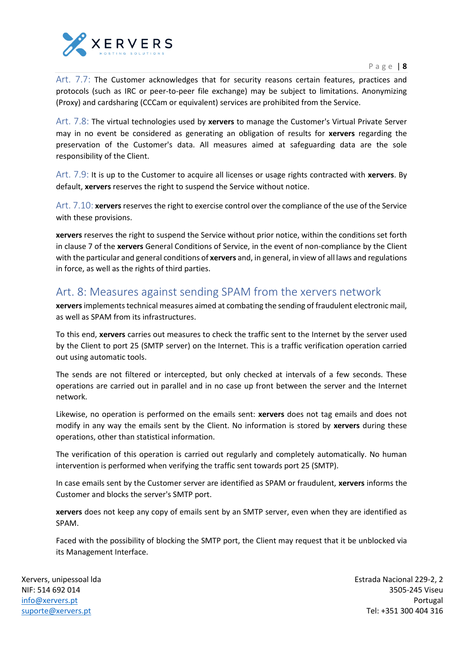



<span id="page-7-0"></span>Art. 7.7: The Customer acknowledges that for security reasons certain features, practices and protocols (such as IRC or peer-to-peer file exchange) may be subject to limitations. Anonymizing (Proxy) and cardsharing (CCCam or equivalent) services are prohibited from the Service.

<span id="page-7-1"></span>Art. 7.8: The virtual technologies used by **xervers** to manage the Customer's Virtual Private Server may in no event be considered as generating an obligation of results for **xervers** regarding the preservation of the Customer's data. All measures aimed at safeguarding data are the sole responsibility of the Client.

<span id="page-7-2"></span>Art. 7.9: It is up to the Customer to acquire all licenses or usage rights contracted with **xervers**. By default, **xervers** reserves the right to suspend the Service without notice.

<span id="page-7-3"></span>Art. 7.10: **xervers** reserves the right to exercise control over the compliance of the use of the Service with these provisions.

**xervers** reserves the right to suspend the Service without prior notice, within the conditions set forth in clause 7 of the **xervers** General Conditions of Service, in the event of non-compliance by the Client with the particular and general conditions of **xervers** and, in general, in view of all laws and regulations in force, as well as the rights of third parties.

### <span id="page-7-4"></span>Art. 8: Measures against sending SPAM from the xervers network

**xervers**implements technical measures aimed at combating the sending of fraudulent electronic mail, as well as SPAM from its infrastructures.

To this end, **xervers** carries out measures to check the traffic sent to the Internet by the server used by the Client to port 25 (SMTP server) on the Internet. This is a traffic verification operation carried out using automatic tools.

The sends are not filtered or intercepted, but only checked at intervals of a few seconds. These operations are carried out in parallel and in no case up front between the server and the Internet network.

Likewise, no operation is performed on the emails sent: **xervers** does not tag emails and does not modify in any way the emails sent by the Client. No information is stored by **xervers** during these operations, other than statistical information.

The verification of this operation is carried out regularly and completely automatically. No human intervention is performed when verifying the traffic sent towards port 25 (SMTP).

In case emails sent by the Customer server are identified as SPAM or fraudulent, **xervers** informs the Customer and blocks the server's SMTP port.

**xervers** does not keep any copy of emails sent by an SMTP server, even when they are identified as SPAM.

Faced with the possibility of blocking the SMTP port, the Client may request that it be unblocked via its Management Interface.

Xervers, unipessoal lda NIF: 514 692 014 [info@xervers.pt](mailto:info@xervers.pt) [suporte@xervers.pt](mailto:suporte@xervers.pt)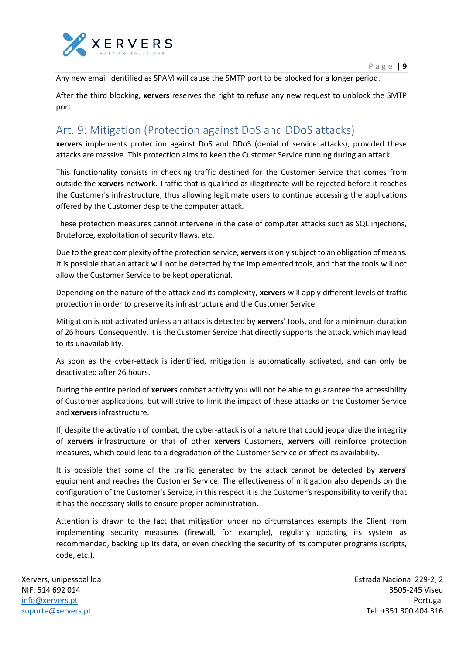

Any new email identified as SPAM will cause the SMTP port to be blocked for a longer period.

After the third blocking, **xervers** reserves the right to refuse any new request to unblock the SMTP port.

#### <span id="page-8-0"></span>Art. 9: Mitigation (Protection against DoS and DDoS attacks)

**xervers** implements protection against DoS and DDoS (denial of service attacks), provided these attacks are massive. This protection aims to keep the Customer Service running during an attack.

This functionality consists in checking traffic destined for the Customer Service that comes from outside the **xervers** network. Traffic that is qualified as illegitimate will be rejected before it reaches the Customer's infrastructure, thus allowing legitimate users to continue accessing the applications offered by the Customer despite the computer attack.

These protection measures cannot intervene in the case of computer attacks such as SQL injections, Bruteforce, exploitation of security flaws, etc.

Due to the great complexity of the protection service, **xervers**is only subject to an obligation of means. It is possible that an attack will not be detected by the implemented tools, and that the tools will not allow the Customer Service to be kept operational.

Depending on the nature of the attack and its complexity, **xervers** will apply different levels of traffic protection in order to preserve its infrastructure and the Customer Service.

Mitigation is not activated unless an attack is detected by **xervers**' tools, and for a minimum duration of 26 hours. Consequently, it is the Customer Service that directly supports the attack, which may lead to its unavailability.

As soon as the cyber-attack is identified, mitigation is automatically activated, and can only be deactivated after 26 hours.

During the entire period of **xervers** combat activity you will not be able to guarantee the accessibility of Customer applications, but will strive to limit the impact of these attacks on the Customer Service and **xervers** infrastructure.

If, despite the activation of combat, the cyber-attack is of a nature that could jeopardize the integrity of **xervers** infrastructure or that of other **xervers** Customers, **xervers** will reinforce protection measures, which could lead to a degradation of the Customer Service or affect its availability.

It is possible that some of the traffic generated by the attack cannot be detected by **xervers**' equipment and reaches the Customer Service. The effectiveness of mitigation also depends on the configuration of the Customer's Service, in this respect it is the Customer's responsibility to verify that it has the necessary skills to ensure proper administration.

Attention is drawn to the fact that mitigation under no circumstances exempts the Client from implementing security measures (firewall, for example), regularly updating its system as recommended, backing up its data, or even checking the security of its computer programs (scripts, code, etc.).

Xervers, unipessoal lda NIF: 514 692 014 [info@xervers.pt](mailto:info@xervers.pt) [suporte@xervers.pt](mailto:suporte@xervers.pt)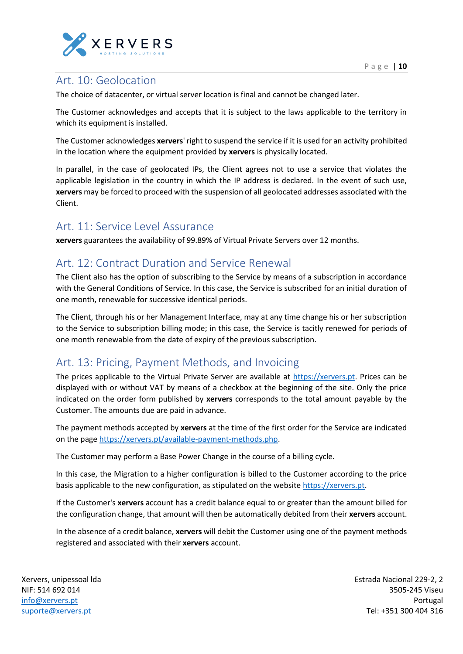

### <span id="page-9-0"></span>Art. 10: Geolocation

The choice of datacenter, or virtual server location is final and cannot be changed later.

The Customer acknowledges and accepts that it is subject to the laws applicable to the territory in which its equipment is installed.

The Customer acknowledges **xervers**' right to suspend the service if it is used for an activity prohibited in the location where the equipment provided by **xervers** is physically located.

In parallel, in the case of geolocated IPs, the Client agrees not to use a service that violates the applicable legislation in the country in which the IP address is declared. In the event of such use, **xervers** may be forced to proceed with the suspension of all geolocated addresses associated with the Client.

#### <span id="page-9-1"></span>Art. 11: Service Level Assurance

**xervers** guarantees the availability of 99.89% of Virtual Private Servers over 12 months.

#### <span id="page-9-2"></span>Art. 12: Contract Duration and Service Renewal

The Client also has the option of subscribing to the Service by means of a subscription in accordance with the General Conditions of Service. In this case, the Service is subscribed for an initial duration of one month, renewable for successive identical periods.

The Client, through his or her Management Interface, may at any time change his or her subscription to the Service to subscription billing mode; in this case, the Service is tacitly renewed for periods of one month renewable from the date of expiry of the previous subscription.

#### <span id="page-9-3"></span>Art. 13: Pricing, Payment Methods, and Invoicing

The prices applicable to the Virtual Private Server are available at [https://xervers.pt.](https://xervers.pt/) Prices can be displayed with or without VAT by means of a checkbox at the beginning of the site. Only the price indicated on the order form published by **xervers** corresponds to the total amount payable by the Customer. The amounts due are paid in advance.

The payment methods accepted by **xervers** at the time of the first order for the Service are indicated on the page [https://xervers.pt/available-payment-methods.php.](https://xervers.pt/available-payment-methods.php)

The Customer may perform a Base Power Change in the course of a billing cycle.

In this case, the Migration to a higher configuration is billed to the Customer according to the price basis applicable to the new configuration, as stipulated on the website [https://xervers.pt.](https://xervers.pt/)

If the Customer's **xervers** account has a credit balance equal to or greater than the amount billed for the configuration change, that amount will then be automatically debited from their **xervers** account.

In the absence of a credit balance, **xervers** will debit the Customer using one of the payment methods registered and associated with their **xervers** account.

Xervers, unipessoal lda NIF: 514 692 014 [info@xervers.pt](mailto:info@xervers.pt) [suporte@xervers.pt](mailto:suporte@xervers.pt)